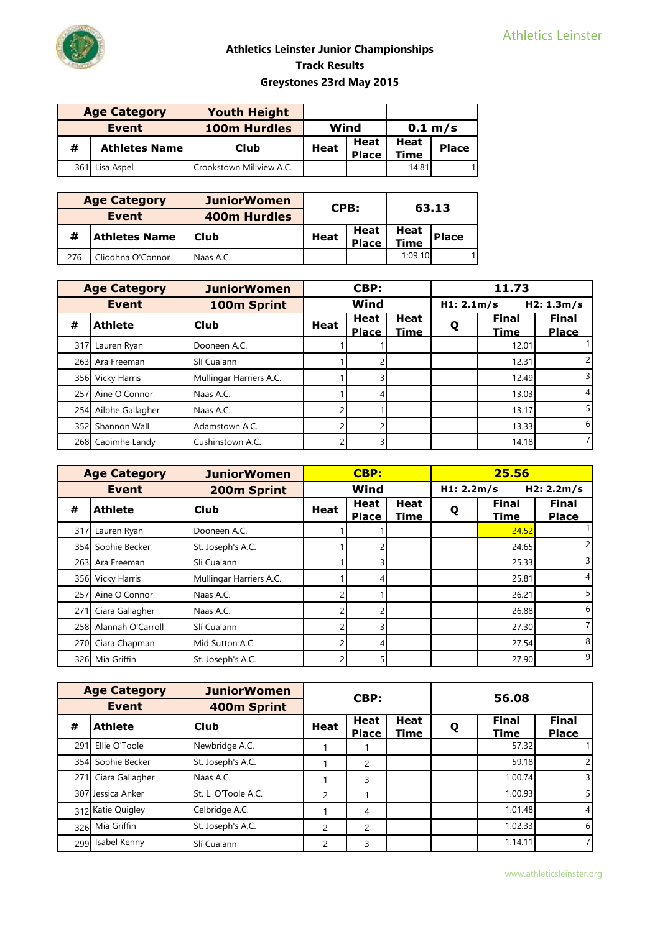| <b>Age Category</b> |                      | <b>Youth Height</b>      |             |                      |              |              |
|---------------------|----------------------|--------------------------|-------------|----------------------|--------------|--------------|
| Event               |                      | <b>100m Hurdles</b>      | Wind        |                      |              | 0.1 m/s      |
| #                   | <b>Athletes Name</b> | Club                     | <b>Heat</b> | Heat<br><b>Place</b> | Heat<br>Time | <b>Place</b> |
|                     | 361 Lisa Aspel       | Crookstown Millview A.C. |             |                      | 14.81        |              |

| <b>Age Category</b> |                      | <b>JuniorWomen</b>  |             | CPB:         |             | 63.13        |
|---------------------|----------------------|---------------------|-------------|--------------|-------------|--------------|
|                     | Event                | <b>400m Hurdles</b> |             |              |             |              |
|                     | <b>Athletes Name</b> | Club                | <b>Heat</b> | Heat         |             | <b>Place</b> |
| #                   |                      |                     |             | <b>Place</b> | <b>Time</b> |              |
| 276                 | Cliodhna O'Connor    | Naas A.C.           |             |              | 1:09.10     |              |

|     | <b>Age Category</b> | <b>JuniorWomen</b>      |             | CBP:                        |                            |            | 11.73                |                              |
|-----|---------------------|-------------------------|-------------|-----------------------------|----------------------------|------------|----------------------|------------------------------|
|     | Event               | 100m Sprint             |             | Wind                        |                            | H1: 2.1m/s |                      | H2: 1.3m/s                   |
| #   | <b>Athlete</b>      | <b>Club</b>             | <b>Heat</b> | <b>Heat</b><br><b>Place</b> | <b>Heat</b><br><b>Time</b> | Q          | <b>Final</b><br>Time | <b>Final</b><br><b>Place</b> |
| 317 | Lauren Ryan         | Dooneen A.C.            |             |                             |                            |            | 12.01                |                              |
| 263 | Ara Freeman         | Slí Cualann             |             |                             |                            |            | 12.31                |                              |
| 356 | Vicky Harris        | Mullingar Harriers A.C. |             |                             |                            |            | 12.49                |                              |
| 257 | Aine O'Connor       | Naas A.C.               |             |                             |                            |            | 13.03                | 4                            |
| 254 | Ailbhe Gallagher    | Naas A.C.               |             |                             |                            |            | 13.17                | 5                            |
| 352 | Shannon Wall        | Adamstown A.C.          |             |                             |                            |            | 13.33                | $6 \mid$                     |
|     | 268 Caoimhe Landy   | Cushinstown A.C.        |             |                             |                            |            | 14.18                |                              |

|     | <b>Age Category</b>   | <b>JuniorWomen</b>      |             | <b>CBP:</b>          |              |   | 25.56                       |                              |
|-----|-----------------------|-------------------------|-------------|----------------------|--------------|---|-----------------------------|------------------------------|
|     | <b>Event</b>          | 200m Sprint             | Wind        |                      | H1: 2.2m/s   |   | H2: 2.2m/s                  |                              |
| #   | <b>Athlete</b>        | <b>Club</b>             | <b>Heat</b> | Heat<br><b>Place</b> | Heat<br>Time | Q | <b>Final</b><br><b>Time</b> | <b>Final</b><br><b>Place</b> |
| 317 | Lauren Ryan           | Dooneen A.C.            |             |                      |              |   | 24.52                       |                              |
|     | 354 Sophie Becker     | St. Joseph's A.C.       |             |                      |              |   | 24.65                       |                              |
|     | 263 Ara Freeman       | Slí Cualann             |             |                      |              |   | 25.33                       |                              |
|     | 356 Vicky Harris      | Mullingar Harriers A.C. |             |                      |              |   | 25.81                       |                              |
|     | 257 Aine O'Connor     | Naas A.C.               |             |                      |              |   | 26.21                       | 5                            |
| 271 | Ciara Gallagher       | Naas A.C.               |             |                      |              |   | 26.88                       | 6                            |
|     | 258 Alannah O'Carroll | Slí Cualann             |             |                      |              |   | 27.30                       |                              |
| 270 | Ciara Chapman         | Mid Sutton A.C.         |             |                      |              |   | 27.54                       | 8                            |
|     | 326 Mia Griffin       | St. Joseph's A.C.       |             |                      |              |   | 27.90                       | 9                            |

|     | <b>Age Category</b> | <b>JuniorWomen</b>  |             | CBP:                 |                            |   | 56.08                       |                       |
|-----|---------------------|---------------------|-------------|----------------------|----------------------------|---|-----------------------------|-----------------------|
|     | <b>Event</b>        | 400m Sprint         |             |                      |                            |   |                             |                       |
| #   | <b>Athlete</b>      | <b>Club</b>         | <b>Heat</b> | Heat<br><b>Place</b> | <b>Heat</b><br><b>Time</b> | Q | <b>Final</b><br><b>Time</b> | Final<br><b>Place</b> |
| 291 | Ellie O'Toole       | Newbridge A.C.      |             |                      |                            |   | 57.32                       |                       |
|     | 354 Sophie Becker   | St. Joseph's A.C.   |             | 2                    |                            |   | 59.18                       |                       |
| 271 | Ciara Gallagher     | Naas A.C.           |             | 3                    |                            |   | 1.00.74                     | 3                     |
|     | 307 Jessica Anker   | St. L. O'Toole A.C. | 2           |                      |                            |   | 1.00.93                     | 5                     |
|     | 312 Katie Quigley   | Celbridge A.C.      |             | 4                    |                            |   | 1.01.48                     | 4                     |
|     | 326 Mia Griffin     | St. Joseph's A.C.   | 2           | 2                    |                            |   | 1.02.33                     | 6                     |
|     | 299 Isabel Kenny    | Slí Cualann         | 2           | 3                    |                            |   | 1.14.11                     | 7                     |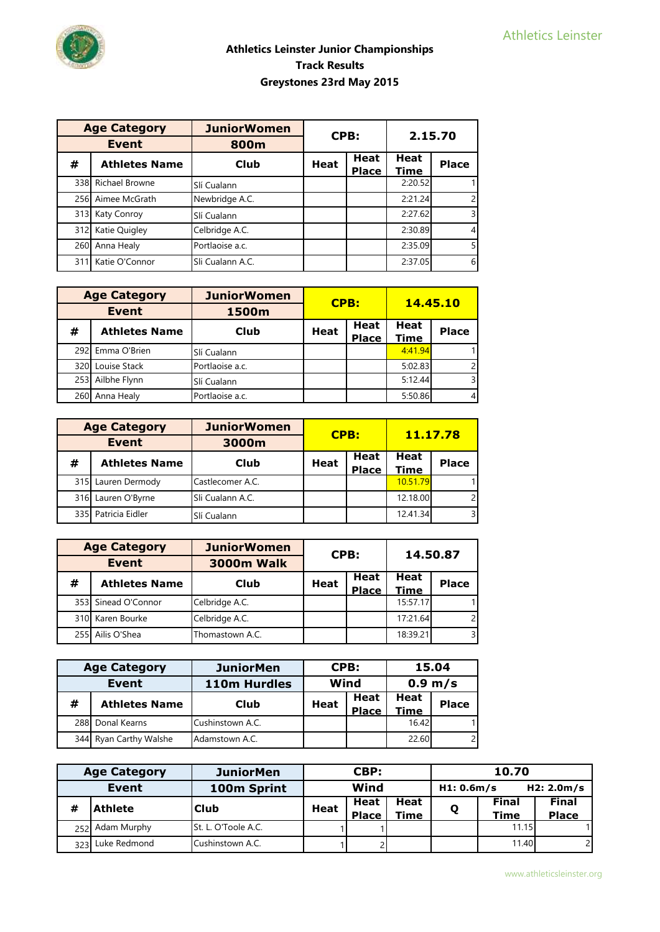

|              | <b>Age Category</b>  | <b>JuniorWomen</b> | CPB:        |                             | 2.15.70                    |                         |
|--------------|----------------------|--------------------|-------------|-----------------------------|----------------------------|-------------------------|
| <b>Event</b> |                      | 800m               |             |                             |                            |                         |
| #            | <b>Athletes Name</b> | <b>Club</b>        | <b>Heat</b> | <b>Heat</b><br><b>Place</b> | <b>Heat</b><br><u>Time</u> | <b>Place</b>            |
|              | 338 Richael Browne   | Slí Cualann        |             |                             | 2:20.52                    |                         |
| 256          | Aimee McGrath        | Newbridge A.C.     |             |                             | 2:21.24                    | $\overline{c}$          |
| 313I         | <b>Katy Conroy</b>   | Slí Cualann        |             |                             | 2:27.62                    | $\overline{\mathsf{3}}$ |
| 312          | Katie Quigley        | Celbridge A.C.     |             |                             | 2:30.89                    | $\overline{4}$          |
| 260          | Anna Healy           | Portlaoise a.c.    |             |                             | 2:35.09                    | 5 <sup>1</sup>          |
| 311          | Katie O'Connor       | Sli Cualann A.C.   |             |                             | 2:37.05                    | 6                       |

| <b>Age Category</b> |                      | <b>JuniorWomen</b> | <b>CPB:</b> |                      | 14.45.10     |              |
|---------------------|----------------------|--------------------|-------------|----------------------|--------------|--------------|
|                     | <b>Event</b>         | 1500m              |             |                      |              |              |
| #                   | <b>Athletes Name</b> | Club               | <b>Heat</b> | Heat<br><b>Place</b> | Heat<br>Time | <b>Place</b> |
|                     | 292 Emma O'Brien     | Slí Cualann        |             |                      | 4:41.94      |              |
| 320                 | Louise Stack         | Portlaoise a.c.    |             |                      | 5:02.83      |              |
|                     | 253 Ailbhe Flynn     | Slí Cualann        |             |                      | 5:12.44      |              |
| 260                 | Anna Healy           | Portlaoise a.c.    |             |                      | 5:50.86      |              |

|     | <b>Age Category</b>  | <b>JuniorWomen</b> |             |                      | 11.17.78     |                |
|-----|----------------------|--------------------|-------------|----------------------|--------------|----------------|
|     | <b>Event</b>         | 3000m              | CPB:        |                      |              |                |
| #   | <b>Athletes Name</b> | <b>Club</b>        | <b>Heat</b> | Heat<br><b>Place</b> | Heat<br>Time | <b>Place</b>   |
| 315 | Lauren Dermody       | Castlecomer A.C.   |             |                      | 10.51.79     |                |
| 316 | Lauren O'Byrne       | Sli Cualann A.C.   |             |                      | 12.18.00     | $\overline{2}$ |
|     | 335 Patricia Eidler  | Slí Cualann        |             |                      | 12.41.34     | $\overline{3}$ |

| <b>Age Category</b> |                      | <b>JuniorWomen</b> |                  |                      |              |                |
|---------------------|----------------------|--------------------|------------------|----------------------|--------------|----------------|
|                     | <b>Event</b>         | <b>3000m Walk</b>  | CPB:<br>14.50.87 |                      |              |                |
| #                   | <b>Athletes Name</b> | Club               | <b>Heat</b>      | Heat<br><b>Place</b> | Heat<br>Time | <b>Place</b>   |
|                     | 353 Sinead O'Connor  | Celbridge A.C.     |                  |                      | 15:57.17     |                |
|                     | 310 Karen Bourke     | Celbridge A.C.     |                  |                      | 17:21.64     | $\overline{2}$ |
| 255 <b>L</b>        | Ailis O'Shea         | Thomastown A.C.    |                  |                      | 18:39.21     | $\overline{3}$ |

|   | <b>Age Category</b>    | CPB:<br><b>JuniorMen</b> |             |              | 15.04       |                |
|---|------------------------|--------------------------|-------------|--------------|-------------|----------------|
|   | Event                  | Wind<br>110m Hurdles     |             |              | 0.9 m/s     |                |
| # | <b>Athletes Name</b>   | Club                     | <b>Heat</b> | Heat         | <b>Heat</b> | <b>Place</b>   |
|   |                        |                          |             | <b>Place</b> | Time        |                |
|   | 288 Donal Kearns       | <b>Cushinstown A.C.</b>  |             |              | 16.42       |                |
|   | 344 Ryan Carthy Walshe | Adamstown A.C.           |             |              | 22.60       | $\overline{c}$ |

| <b>Age Category</b> |                | <b>JuniorMen</b>    | CBP:        |                      | 10.70               |  |                      |                              |
|---------------------|----------------|---------------------|-------------|----------------------|---------------------|--|----------------------|------------------------------|
| Event               |                | 100m Sprint         | Wind        |                      | H1: 0.6m/s          |  | H2: 2.0m/s           |                              |
| #                   | <b>Athlete</b> | <b>Club</b>         | <b>Heat</b> | Heat<br><b>Place</b> | Heat<br><b>Time</b> |  | <b>Final</b><br>Time | <b>Final</b><br><b>Place</b> |
| 252 <sub>1</sub>    | Adam Murphy    | St. L. O'Toole A.C. |             |                      |                     |  | 11.15                |                              |
| 323                 | Luke Redmond   | Cushinstown A.C.    |             |                      |                     |  | 11.40                |                              |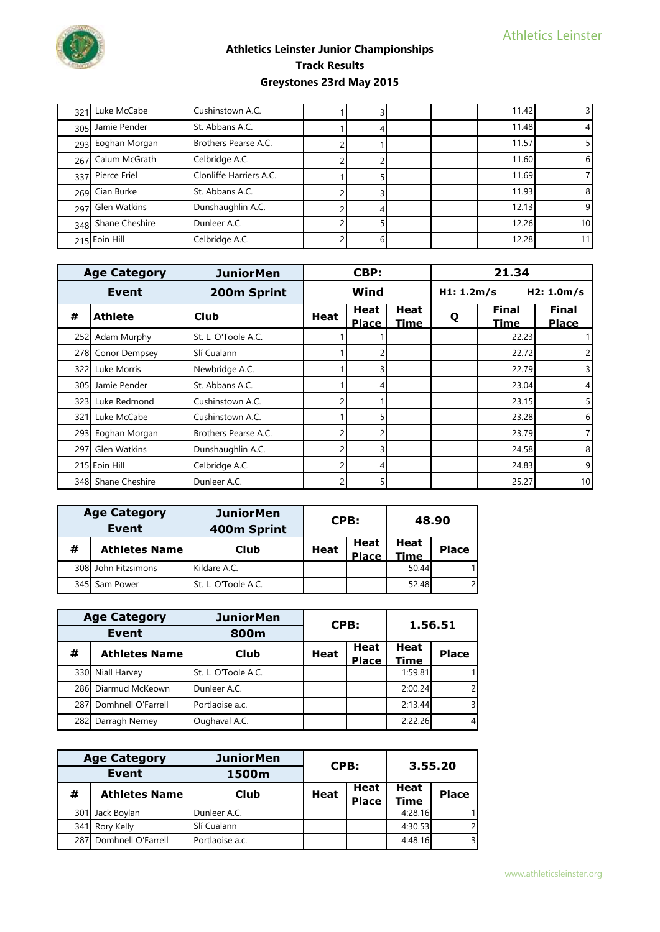

| 321 | Luke McCabe        | Cushinstown A.C.        |  |  | 11.42 |                 |
|-----|--------------------|-------------------------|--|--|-------|-----------------|
|     | 305 Jamie Pender   | St. Abbans A.C.         |  |  | 11.48 |                 |
| 293 | Eoghan Morgan      | Brothers Pearse A.C.    |  |  | 11.57 |                 |
|     | 267 Calum McGrath  | Celbridge A.C.          |  |  | 11.60 | 6               |
|     | 337 Pierce Friel   | Clonliffe Harriers A.C. |  |  | 11.69 |                 |
|     | 269 Cian Burke     | St. Abbans A.C.         |  |  | 11.93 | 8               |
|     | 297 Glen Watkins   | Dunshaughlin A.C.       |  |  | 12.13 | 9               |
|     | 348 Shane Cheshire | Dunleer A.C.            |  |  | 12.26 | 10 <sup>1</sup> |
|     | 215 Eoin Hill      | Celbridge A.C.          |  |  | 12.28 | 11              |

| <b>Age Category</b> |                     | <b>JuniorMen</b>     | CBP:        |                      | 21.34                      |            |                             |                              |
|---------------------|---------------------|----------------------|-------------|----------------------|----------------------------|------------|-----------------------------|------------------------------|
|                     | Event               | 200m Sprint          |             | Wind                 |                            | H1: 1.2m/s |                             | H2: 1.0m/s                   |
| #                   | <b>Athlete</b>      | <b>Club</b>          | <b>Heat</b> | Heat<br><b>Place</b> | <b>Heat</b><br><b>Time</b> | Q          | <b>Final</b><br><b>Time</b> | <b>Final</b><br><b>Place</b> |
|                     | 252 Adam Murphy     | St. L. O'Toole A.C.  |             |                      |                            |            | 22.23                       |                              |
|                     | 278 Conor Dempsey   | Slí Cualann          |             |                      |                            |            | 22.72                       |                              |
| 3221                | Luke Morris         | Newbridge A.C.       |             |                      |                            |            | 22.79                       |                              |
|                     | 305 Jamie Pender    | St. Abbans A.C.      |             |                      |                            |            | 23.04                       | 4                            |
|                     | 323 Luke Redmond    | Cushinstown A.C.     |             |                      |                            |            | 23.15                       | 5                            |
|                     | 321 Luke McCabe     | Cushinstown A.C.     |             |                      |                            |            | 23.28                       | 6                            |
| 293                 | Eoghan Morgan       | Brothers Pearse A.C. |             |                      |                            |            | 23.79                       |                              |
| 297                 | <b>Glen Watkins</b> | Dunshaughlin A.C.    |             |                      |                            |            | 24.58                       | 8                            |
|                     | 215 Eoin Hill       | Celbridge A.C.       |             |                      |                            |            | 24.83                       | 9                            |
|                     | 348 Shane Cheshire  | Dunleer A.C.         |             |                      |                            |            | 25.27                       | 10                           |

| <b>Age Category</b> |                      | <b>JuniorMen</b>    | CPB: |              | 48.90 |                |
|---------------------|----------------------|---------------------|------|--------------|-------|----------------|
|                     | Event                | 400m Sprint         |      |              |       |                |
| #                   | <b>Athletes Name</b> | Club                | Heat | Heat         | Heat  | <b>Place</b>   |
|                     |                      |                     |      | <b>Place</b> | Time  |                |
|                     | 308 John Fitzsimons  | Kildare A.C.        |      |              | 50.44 |                |
| 345                 | Sam Power            | St. L. O'Toole A.C. |      |              | 52.48 | $\overline{2}$ |

| <b>Age Category</b> |                      | <b>JuniorMen</b>    |             | CPB:         |             | 1.56.51      |  |
|---------------------|----------------------|---------------------|-------------|--------------|-------------|--------------|--|
| <b>Event</b>        |                      | 800m                |             |              |             |              |  |
| #                   | <b>Athletes Name</b> | Club                | <b>Heat</b> | Heat         | <b>Heat</b> | <b>Place</b> |  |
|                     |                      |                     |             | <b>Place</b> | Time        |              |  |
|                     | 330 Niall Harvey     | St. L. O'Toole A.C. |             |              | 1:59.81     |              |  |
| 2861                | Diarmud McKeown      | Dunleer A.C.        |             |              | 2:00.24     |              |  |
| 287                 | Domhnell O'Farrell   | Portlaoise a.c.     |             |              | 2:13.44     | 3            |  |
| 282                 | Darragh Nerney       | Oughaval A.C.       |             |              | 2:22.26     | 4            |  |

| <b>Age Category</b> |                      | <b>JuniorMen</b> | CPB:        |                      | 3.55.20      |               |  |
|---------------------|----------------------|------------------|-------------|----------------------|--------------|---------------|--|
| Event               |                      | 1500m            |             |                      |              |               |  |
| #                   | <b>Athletes Name</b> | Club             | <b>Heat</b> | Heat<br><b>Place</b> | Heat<br>Time | <b>Place</b>  |  |
| 301                 | Jack Boylan          | Dunleer A.C.     |             |                      | 4:28.16      |               |  |
| 341                 | Rory Kelly           | Slí Cualann      |             |                      | 4:30.53      | $\mathcal{P}$ |  |
| 287                 | Domhnell O'Farrell   | Portlaoise a.c.  |             |                      | 4:48.16      | 3             |  |